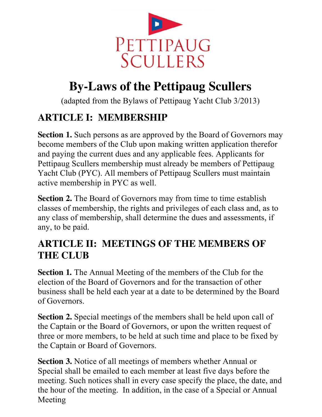

# **By-Laws of the Pettipaug Scullers**

(adapted from the Bylaws of Pettipaug Yacht Club 3/2013)

## **ARTICLE I: MEMBERSHIP**

**Section 1.** Such persons as are approved by the Board of Governors may become members of the Club upon making written application therefor and paying the current dues and any applicable fees. Applicants for Pettipaug Scullers membership must already be members of Pettipaug Yacht Club (PYC). All members of Pettipaug Scullers must maintain active membership in PYC as well.

**Section 2.** The Board of Governors may from time to time establish classes of membership, the rights and privileges of each class and, as to any class of membership, shall determine the dues and assessments, if any, to be paid.

#### **ARTICLE II: MEETINGS OF THE MEMBERS OF THE CLUB**

**Section 1.** The Annual Meeting of the members of the Club for the election of the Board of Governors and for the transaction of other business shall be held each year at a date to be determined by the Board of Governors.

**Section 2.** Special meetings of the members shall be held upon call of the Captain or the Board of Governors, or upon the written request of three or more members, to be held at such time and place to be fixed by the Captain or Board of Governors.

**Section 3.** Notice of all meetings of members whether Annual or Special shall be emailed to each member at least five days before the meeting. Such notices shall in every case specify the place, the date, and the hour of the meeting. In addition, in the case of a Special or Annual Meeting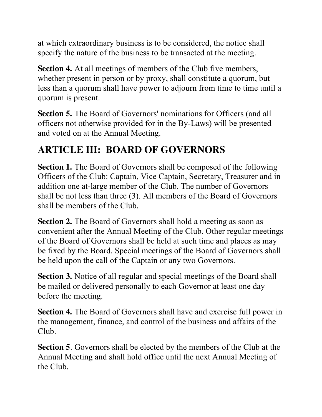at which extraordinary business is to be considered, the notice shall specify the nature of the business to be transacted at the meeting.

**Section 4.** At all meetings of members of the Club five members, whether present in person or by proxy, shall constitute a quorum, but less than a quorum shall have power to adjourn from time to time until a quorum is present.

**Section 5.** The Board of Governors' nominations for Officers (and all officers not otherwise provided for in the By-Laws) will be presented and voted on at the Annual Meeting.

## **ARTICLE III: BOARD OF GOVERNORS**

**Section 1.** The Board of Governors shall be composed of the following Officers of the Club: Captain, Vice Captain, Secretary, Treasurer and in addition one at-large member of the Club. The number of Governors shall be not less than three (3). All members of the Board of Governors shall be members of the Club.

**Section 2.** The Board of Governors shall hold a meeting as soon as convenient after the Annual Meeting of the Club. Other regular meetings of the Board of Governors shall be held at such time and places as may be fixed by the Board. Special meetings of the Board of Governors shall be held upon the call of the Captain or any two Governors.

**Section 3.** Notice of all regular and special meetings of the Board shall be mailed or delivered personally to each Governor at least one day before the meeting.

**Section 4.** The Board of Governors shall have and exercise full power in the management, finance, and control of the business and affairs of the Club.

**Section 5**. Governors shall be elected by the members of the Club at the Annual Meeting and shall hold office until the next Annual Meeting of the Club.